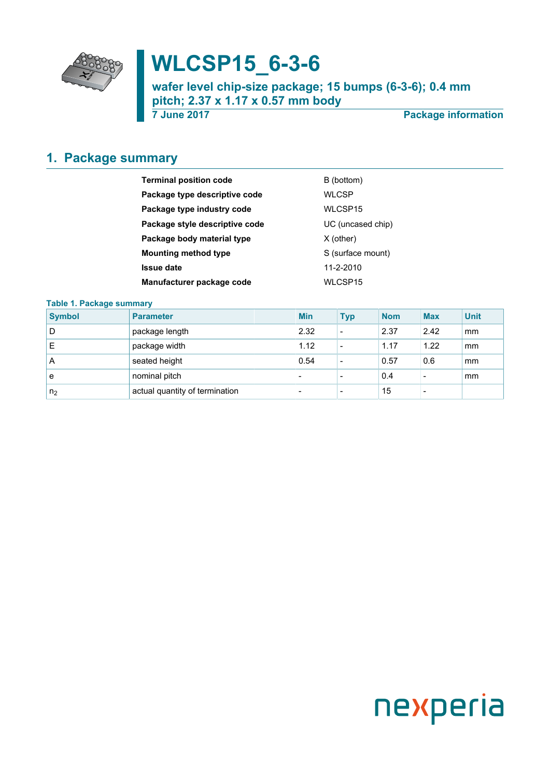

# **WLCSP15\_6-3-6**

**wafer level chip-size package; 15 bumps (6-3-6); 0.4 mm pitch; 2.37 x 1.17 x 0.57 mm body**

**7 June 2017 Package information**

## <span id="page-0-0"></span>**1. Package summary**

| <b>Terminal position code</b>  | B (bottom)        |
|--------------------------------|-------------------|
| Package type descriptive code  | <b>WLCSP</b>      |
| Package type industry code     | WLCSP15           |
| Package style descriptive code | UC (uncased chip) |
| Package body material type     | $X$ (other)       |
| <b>Mounting method type</b>    | S (surface mount) |
| <b>Issue date</b>              | 11-2-2010         |
| Manufacturer package code      | WLCSP15           |

#### **Table 1. Package summary**

| <b>Symbol</b>  | <b>Parameter</b>               | <b>Min</b>               | <b>Typ</b>               | <b>Nom</b> | <b>Max</b>               | <b>Unit</b> |
|----------------|--------------------------------|--------------------------|--------------------------|------------|--------------------------|-------------|
| D              | package length                 | 2.32                     | $\overline{\phantom{a}}$ | 2.37       | 2.42                     | mm          |
| Е              | package width                  | 1.12                     | $\overline{\phantom{a}}$ | 1.17       | 1.22                     | mm          |
| A              | seated height                  | 0.54                     | $\overline{\phantom{a}}$ | 0.57       | 0.6                      | mm          |
| e              | nominal pitch                  | $\overline{\phantom{0}}$ | $\overline{\phantom{0}}$ | 0.4        | $\overline{\phantom{a}}$ | mm          |
| n <sub>2</sub> | actual quantity of termination | $\overline{\phantom{0}}$ | $\overline{\phantom{a}}$ | 15         | $\overline{\phantom{a}}$ |             |

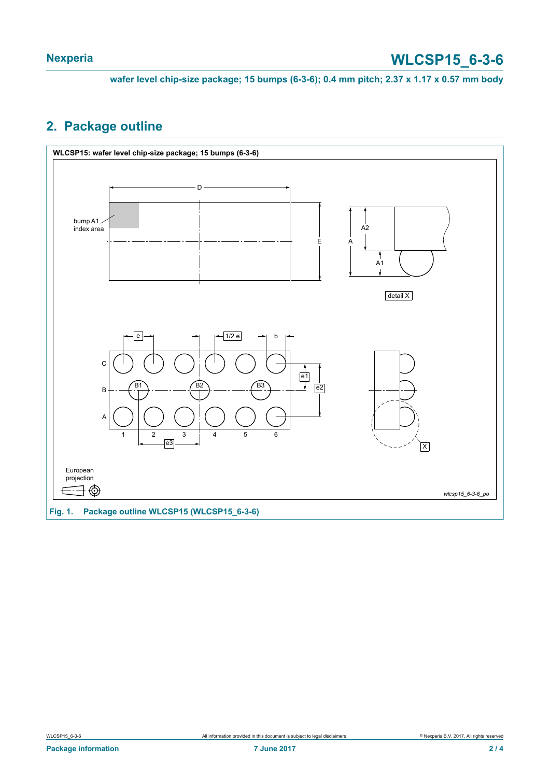**wafer level chip-size package; 15 bumps (6-3-6); 0.4 mm pitch; 2.37 x 1.17 x 0.57 mm body**

## <span id="page-1-0"></span>**2. Package outline**



**Fig. 1. Package outline WLCSP15 (WLCSP15\_6-3-6)**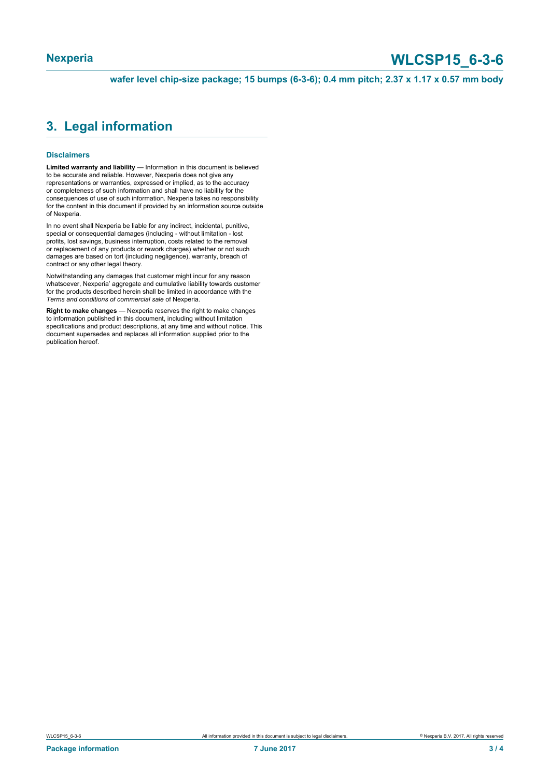# **Nexperia WLCSP15\_6-3-6**

**wafer level chip-size package; 15 bumps (6-3-6); 0.4 mm pitch; 2.37 x 1.17 x 0.57 mm body**

### <span id="page-2-0"></span>**3. Legal information**

#### **Disclaimers**

**Limited warranty and liability** — Information in this document is believed to be accurate and reliable. However, Nexperia does not give any representations or warranties, expressed or implied, as to the accuracy or completeness of such information and shall have no liability for the consequences of use of such information. Nexperia takes no responsibility for the content in this document if provided by an information source outside of Nexperia.

In no event shall Nexperia be liable for any indirect, incidental, punitive, special or consequential damages (including - without limitation - lost profits, lost savings, business interruption, costs related to the removal or replacement of any products or rework charges) whether or not such damages are based on tort (including negligence), warranty, breach of contract or any other legal theory.

Notwithstanding any damages that customer might incur for any reason whatsoever, Nexperia' aggregate and cumulative liability towards customer for the products described herein shall be limited in accordance with the *Terms and conditions of commercial sale* of Nexperia.

**Right to make changes** — Nexperia reserves the right to make changes to information published in this document, including without limitation specifications and product descriptions, at any time and without notice. This document supersedes and replaces all information supplied prior to the publication hereof.